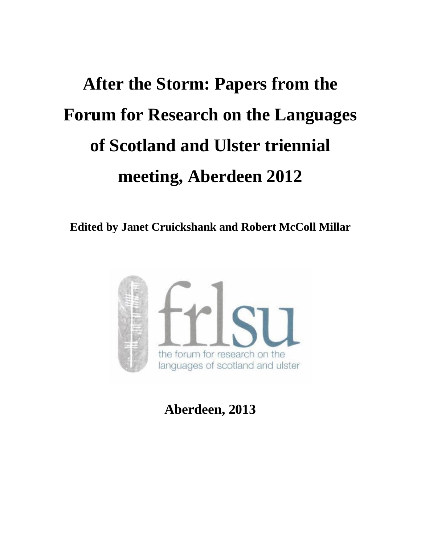# **After the Storm: Papers from the Forum for Research on the Languages of Scotland and Ulster triennial meeting, Aberdeen 2012**

**Edited by Janet Cruickshank and Robert McColl Millar**



**Aberdeen, 2013**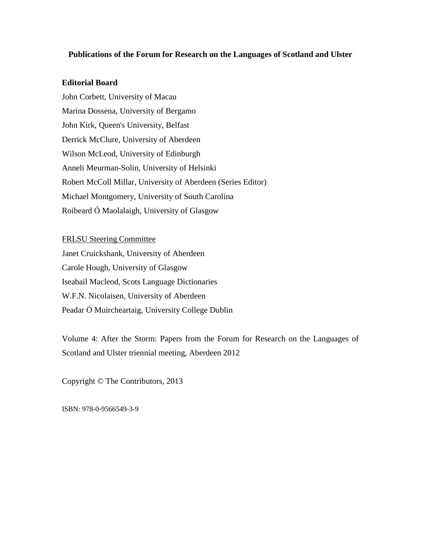#### **Publications of the Forum for Research on the Languages of Scotland and Ulster**

#### **Editorial Board**

John Corbett, University of Macau Marina Dossena, University of Bergamo John Kirk, Queen's University, Belfast Derrick McClure, University of Aberdeen Wilson McLeod, University of Edinburgh Anneli Meurman-Solin, University of Helsinki Robert McColl Millar, University of Aberdeen (Series Editor) Michael Montgomery, University of South Carolina Roibeard Ó Maolalaigh, University of Glasgow

#### FRLSU Steering Committee

Janet Cruickshank, University of Aberdeen Carole Hough, University of Glasgow Iseabail Macleod, Scots Language Dictionaries W.F.N. Nicolaisen, University of Aberdeen Peadar Ó Muircheartaig, University College Dublin

Volume 4: After the Storm: Papers from the Forum for Research on the Languages of Scotland and Ulster triennial meeting, Aberdeen 2012

Copyright © The Contributors, 2013

ISBN: 978-0-9566549-3-9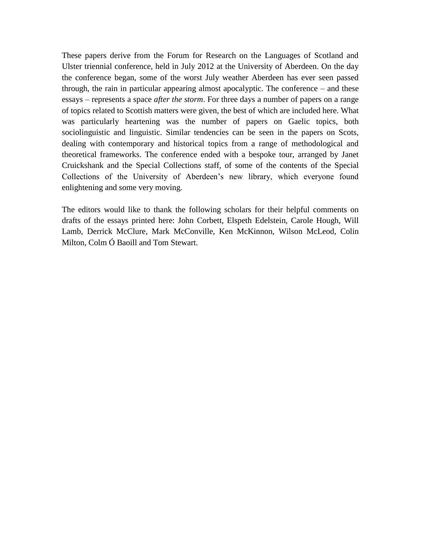These papers derive from the Forum for Research on the Languages of Scotland and Ulster triennial conference, held in July 2012 at the University of Aberdeen. On the day the conference began, some of the worst July weather Aberdeen has ever seen passed through, the rain in particular appearing almost apocalyptic. The conference – and these essays – represents a space *after the storm*. For three days a number of papers on a range of topics related to Scottish matters were given, the best of which are included here. What was particularly heartening was the number of papers on Gaelic topics, both sociolinguistic and linguistic. Similar tendencies can be seen in the papers on Scots, dealing with contemporary and historical topics from a range of methodological and theoretical frameworks. The conference ended with a bespoke tour, arranged by Janet Cruickshank and the Special Collections staff, of some of the contents of the Special Collections of the University of Aberdeen's new library, which everyone found enlightening and some very moving.

The editors would like to thank the following scholars for their helpful comments on drafts of the essays printed here: John Corbett, Elspeth Edelstein, Carole Hough, Will Lamb, Derrick McClure, Mark McConville, Ken McKinnon, Wilson McLeod, Colin Milton, Colm Ó Baoill and Tom Stewart.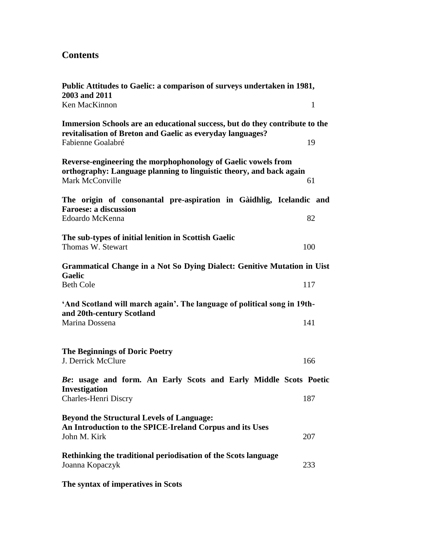## **Contents**

| Public Attitudes to Gaelic: a comparison of surveys undertaken in 1981,<br>2003 and 2011                                                                |              |
|---------------------------------------------------------------------------------------------------------------------------------------------------------|--------------|
| Ken MacKinnon                                                                                                                                           | $\mathbf{1}$ |
| Immersion Schools are an educational success, but do they contribute to the<br>revitalisation of Breton and Gaelic as everyday languages?               |              |
| Fabienne Goalabré                                                                                                                                       | 19           |
| Reverse-engineering the morphophonology of Gaelic vowels from<br>orthography: Language planning to linguistic theory, and back again<br>Mark McConville | 61           |
| The origin of consonantal pre-aspiration in Gàidhlig, Icelandic and<br><b>Faroese: a discussion</b><br>Edoardo McKenna                                  | 82           |
| The sub-types of initial lenition in Scottish Gaelic<br>Thomas W. Stewart                                                                               | 100          |
| Grammatical Change in a Not So Dying Dialect: Genitive Mutation in Uist<br><b>Gaelic</b><br><b>Beth Cole</b>                                            | 117          |
| 'And Scotland will march again'. The language of political song in 19th-<br>and 20th-century Scotland<br>Marina Dossena                                 | 141          |
| <b>The Beginnings of Doric Poetry</b><br>J. Derrick McClure                                                                                             | 166          |
| Be: usage and form. An Early Scots and Early Middle Scots Poetic<br><b>Investigation</b><br>Charles-Henri Discry                                        | 187          |
| <b>Beyond the Structural Levels of Language:</b><br>An Introduction to the SPICE-Ireland Corpus and its Uses<br>John M. Kirk                            | 207          |
| Rethinking the traditional periodisation of the Scots language<br>Joanna Kopaczyk                                                                       | 233          |
|                                                                                                                                                         |              |

**The syntax of imperatives in Scots**